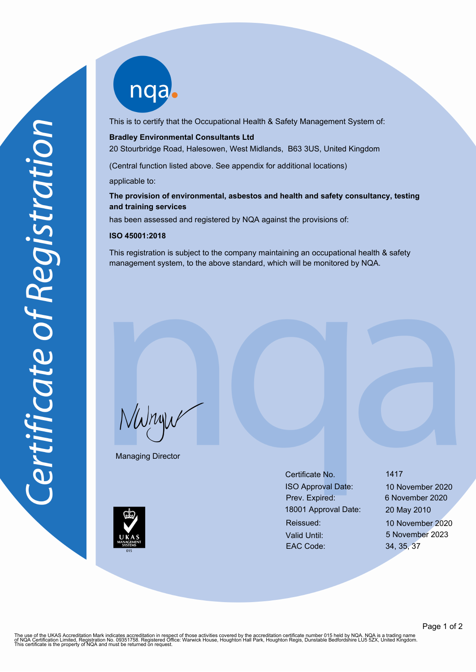nqab

This is to certify that the Occupational Health & Safety Management System of:

#### **Bradley Environmental Consultants Ltd**

20 Stourbridge Road, Halesowen, West Midlands, B63 3US, United Kingdom

(Central function listed above. See appendix for additional locations)

applicable to:

### **The provision of environmental, asbestos and health and safety consultancy, testing and training services**

has been assessed and registered by NQA against the provisions of:

#### **ISO 45001:2018**

This registration is subject to the company maintaining an occupational health & safety management system, to the above standard, which will be monitored by NQA.

NWnyw

Managing Director

Certificate No. 1417 ISO Approval Date: 10 November 2020 Prev. Expired: 6 November 2020 18001 Approval Date: 20 May 2010 Reissued: 10 November 2020 Valid Until: 5 November 2023 EAC Code: 34, 35, 37